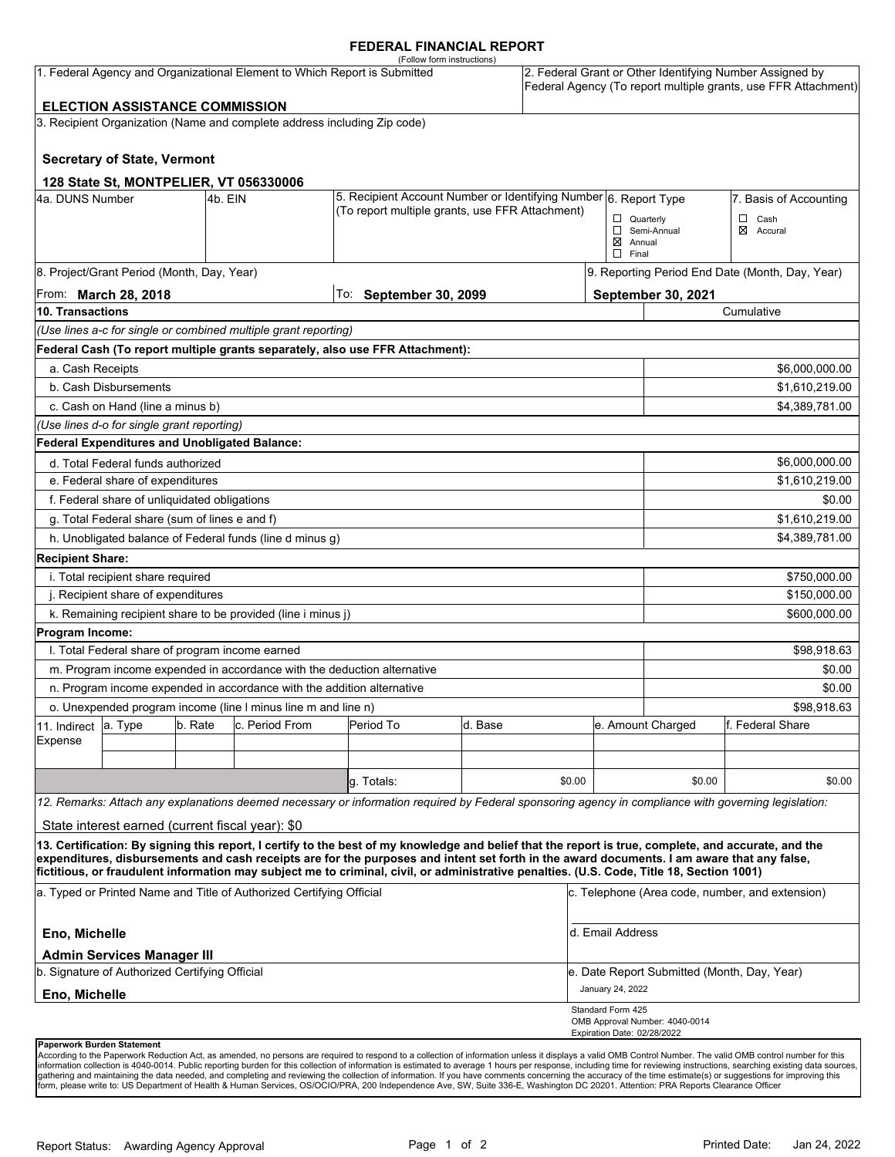#### **FEDERAL FINANCIAL REPORT**

|                         |                                                                                     |         |                                                                           | (Follow form instructions)                                                                                                                                                                                                                                                              |         |        |                             |                                             |                                                                                                                            |
|-------------------------|-------------------------------------------------------------------------------------|---------|---------------------------------------------------------------------------|-----------------------------------------------------------------------------------------------------------------------------------------------------------------------------------------------------------------------------------------------------------------------------------------|---------|--------|-----------------------------|---------------------------------------------|----------------------------------------------------------------------------------------------------------------------------|
|                         |                                                                                     |         | 1. Federal Agency and Organizational Element to Which Report is Submitted |                                                                                                                                                                                                                                                                                         |         |        |                             |                                             | 2. Federal Grant or Other Identifying Number Assigned by<br>Federal Agency (To report multiple grants, use FFR Attachment) |
|                         | <b>ELECTION ASSISTANCE COMMISSION</b>                                               |         |                                                                           |                                                                                                                                                                                                                                                                                         |         |        |                             |                                             |                                                                                                                            |
|                         |                                                                                     |         | 3. Recipient Organization (Name and complete address including Zip code)  |                                                                                                                                                                                                                                                                                         |         |        |                             |                                             |                                                                                                                            |
|                         | <b>Secretary of State, Vermont</b>                                                  |         |                                                                           |                                                                                                                                                                                                                                                                                         |         |        |                             |                                             |                                                                                                                            |
|                         |                                                                                     |         | 128 State St, MONTPELIER, VT 056330006                                    |                                                                                                                                                                                                                                                                                         |         |        |                             |                                             |                                                                                                                            |
| 4a. DUNS Number         |                                                                                     | 4b. EIN |                                                                           | 5. Recipient Account Number or Identifying Number 6. Report Type<br>(To report multiple grants, use FFR Attachment)                                                                                                                                                                     |         |        |                             |                                             | 7. Basis of Accounting                                                                                                     |
|                         |                                                                                     |         |                                                                           |                                                                                                                                                                                                                                                                                         |         |        | $\Box$ Quarterly            |                                             | $\Box$ Cash<br>⊠ Accural                                                                                                   |
|                         |                                                                                     |         |                                                                           |                                                                                                                                                                                                                                                                                         |         |        | $\boxtimes$ Annual          | Semi-Annual                                 |                                                                                                                            |
|                         |                                                                                     |         |                                                                           |                                                                                                                                                                                                                                                                                         |         |        | $\Box$ Final                |                                             |                                                                                                                            |
|                         | 8. Project/Grant Period (Month, Day, Year)                                          |         |                                                                           |                                                                                                                                                                                                                                                                                         |         |        |                             |                                             | 9. Reporting Period End Date (Month, Day, Year)                                                                            |
|                         | From: <b>March 28, 2018</b>                                                         |         |                                                                           | To: September 30, 2099                                                                                                                                                                                                                                                                  |         |        |                             | <b>September 30, 2021</b>                   |                                                                                                                            |
| 10. Transactions        |                                                                                     |         |                                                                           |                                                                                                                                                                                                                                                                                         |         |        |                             |                                             | Cumulative                                                                                                                 |
|                         |                                                                                     |         | (Use lines a-c for single or combined multiple grant reporting)           |                                                                                                                                                                                                                                                                                         |         |        |                             |                                             |                                                                                                                            |
|                         |                                                                                     |         |                                                                           | Federal Cash (To report multiple grants separately, also use FFR Attachment):                                                                                                                                                                                                           |         |        |                             |                                             |                                                                                                                            |
| a. Cash Receipts        |                                                                                     |         |                                                                           |                                                                                                                                                                                                                                                                                         |         |        |                             |                                             | \$6,000,000.00                                                                                                             |
|                         | b. Cash Disbursements                                                               |         |                                                                           |                                                                                                                                                                                                                                                                                         |         |        |                             |                                             | \$1,610,219.00                                                                                                             |
|                         | c. Cash on Hand (line a minus b)                                                    |         |                                                                           |                                                                                                                                                                                                                                                                                         |         |        |                             |                                             | \$4,389,781.00                                                                                                             |
|                         | (Use lines d-o for single grant reporting)                                          |         |                                                                           |                                                                                                                                                                                                                                                                                         |         |        |                             |                                             |                                                                                                                            |
|                         | Federal Expenditures and Unobligated Balance:                                       |         |                                                                           |                                                                                                                                                                                                                                                                                         |         |        |                             |                                             |                                                                                                                            |
|                         | d. Total Federal funds authorized                                                   |         |                                                                           |                                                                                                                                                                                                                                                                                         |         |        |                             |                                             | \$6,000,000.00                                                                                                             |
|                         | e. Federal share of expenditures                                                    |         |                                                                           |                                                                                                                                                                                                                                                                                         |         |        |                             |                                             | \$1,610,219.00                                                                                                             |
|                         | f. Federal share of unliquidated obligations                                        |         |                                                                           |                                                                                                                                                                                                                                                                                         |         |        |                             |                                             | \$0.00                                                                                                                     |
|                         | g. Total Federal share (sum of lines e and f)                                       |         |                                                                           |                                                                                                                                                                                                                                                                                         |         |        |                             |                                             | \$1,610,219.00                                                                                                             |
|                         |                                                                                     |         | h. Unobligated balance of Federal funds (line d minus g)                  |                                                                                                                                                                                                                                                                                         |         |        |                             |                                             | \$4,389,781.00                                                                                                             |
| <b>Recipient Share:</b> |                                                                                     |         |                                                                           |                                                                                                                                                                                                                                                                                         |         |        |                             |                                             |                                                                                                                            |
|                         | i. Total recipient share required                                                   |         |                                                                           |                                                                                                                                                                                                                                                                                         |         |        |                             |                                             | \$750,000.00                                                                                                               |
|                         | j. Recipient share of expenditures                                                  |         |                                                                           |                                                                                                                                                                                                                                                                                         |         |        |                             |                                             | \$150,000.00                                                                                                               |
|                         |                                                                                     |         | k. Remaining recipient share to be provided (line i minus j)              |                                                                                                                                                                                                                                                                                         |         |        |                             |                                             | \$600,000.00                                                                                                               |
| Program Income:         |                                                                                     |         |                                                                           |                                                                                                                                                                                                                                                                                         |         |        |                             |                                             |                                                                                                                            |
|                         | I. Total Federal share of program income earned                                     |         |                                                                           |                                                                                                                                                                                                                                                                                         |         |        |                             |                                             | \$98,918.63                                                                                                                |
|                         |                                                                                     |         | m. Program income expended in accordance with the deduction alternative   |                                                                                                                                                                                                                                                                                         |         |        |                             |                                             | \$0.00                                                                                                                     |
|                         |                                                                                     |         | n. Program income expended in accordance with the addition alternative    |                                                                                                                                                                                                                                                                                         |         |        |                             |                                             | \$0.00                                                                                                                     |
|                         |                                                                                     |         | o. Unexpended program income (line I minus line m and line n)             |                                                                                                                                                                                                                                                                                         |         |        |                             |                                             | \$98,918.63                                                                                                                |
| 11. Indirect            | a. Type                                                                             | b. Rate | c. Period From                                                            | Period To                                                                                                                                                                                                                                                                               | d. Base |        |                             | e. Amount Charged                           | lf. Federal Share                                                                                                          |
| Expense                 |                                                                                     |         |                                                                           |                                                                                                                                                                                                                                                                                         |         |        |                             |                                             |                                                                                                                            |
|                         |                                                                                     |         |                                                                           |                                                                                                                                                                                                                                                                                         |         |        |                             |                                             |                                                                                                                            |
|                         |                                                                                     |         |                                                                           | q. Totals:                                                                                                                                                                                                                                                                              |         | \$0.00 |                             | \$0.00                                      | \$0.00                                                                                                                     |
|                         |                                                                                     |         |                                                                           | 12. Remarks: Attach any explanations deemed necessary or information required by Federal sponsoring agency in compliance with governing legislation:                                                                                                                                    |         |        |                             |                                             |                                                                                                                            |
|                         | State interest earned (current fiscal year): \$0                                    |         |                                                                           |                                                                                                                                                                                                                                                                                         |         |        |                             |                                             |                                                                                                                            |
|                         |                                                                                     |         |                                                                           | 13. Certification: By signing this report, I certify to the best of my knowledge and belief that the report is true, complete, and accurate, and the                                                                                                                                    |         |        |                             |                                             |                                                                                                                            |
|                         |                                                                                     |         |                                                                           | expenditures, disbursements and cash receipts are for the purposes and intent set forth in the award documents. I am aware that any false,<br>fictitious, or fraudulent information may subject me to criminal, civil, or administrative penalties. (U.S. Code, Title 18, Section 1001) |         |        |                             |                                             |                                                                                                                            |
|                         |                                                                                     |         | a. Typed or Printed Name and Title of Authorized Certifying Official      |                                                                                                                                                                                                                                                                                         |         |        |                             |                                             | c. Telephone (Area code, number, and extension)                                                                            |
| Eno, Michelle           |                                                                                     |         |                                                                           |                                                                                                                                                                                                                                                                                         |         |        | d. Email Address            |                                             |                                                                                                                            |
|                         | <b>Admin Services Manager III</b><br>b. Signature of Authorized Certifying Official |         |                                                                           |                                                                                                                                                                                                                                                                                         |         |        |                             | e. Date Report Submitted (Month, Day, Year) |                                                                                                                            |
| Eno, Michelle           |                                                                                     |         |                                                                           |                                                                                                                                                                                                                                                                                         |         |        | January 24, 2022            |                                             |                                                                                                                            |
|                         |                                                                                     |         |                                                                           |                                                                                                                                                                                                                                                                                         |         |        | Standard Form 425           | OMB Approval Number: 4040-0014              |                                                                                                                            |
|                         |                                                                                     |         |                                                                           |                                                                                                                                                                                                                                                                                         |         |        | Expiration Date: 02/28/2022 |                                             |                                                                                                                            |

**Paperwork Burden Statement** 

According to the Paperwork Reduction Act, as amended, no persons are required to respond to a collection of information unless it displays a valid OMB Control Number. The valid OMB control number for this<br>information colle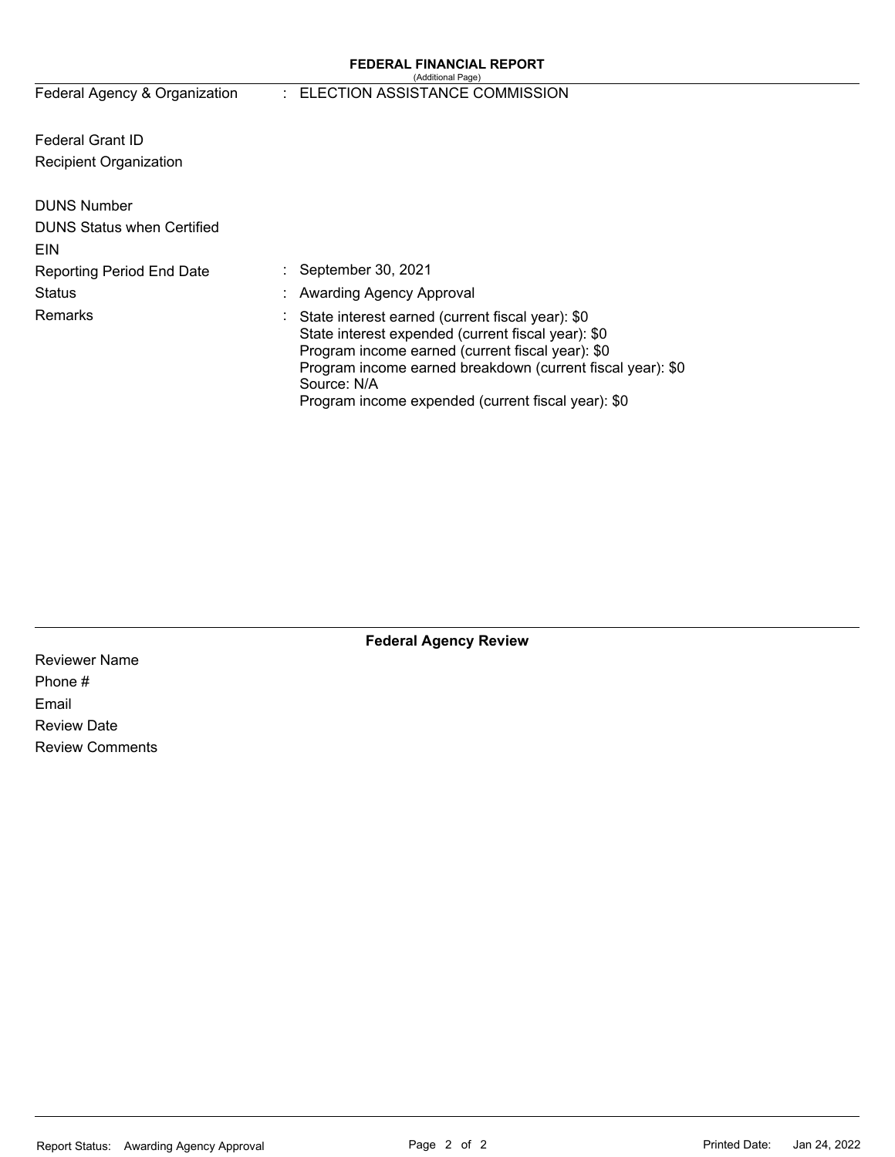#### **FEDERAL FINANCIAL REPORT**  (Additional Page)

# Federal Agency & Organization : ELECTION ASSISTANCE COMMISSION

Federal Grant ID Recipient Organization

| <b>DUNS Number</b>                |                                                                                                                                                                                                                                                                                                 |
|-----------------------------------|-------------------------------------------------------------------------------------------------------------------------------------------------------------------------------------------------------------------------------------------------------------------------------------------------|
| <b>DUNS Status when Certified</b> |                                                                                                                                                                                                                                                                                                 |
| EIN                               |                                                                                                                                                                                                                                                                                                 |
| <b>Reporting Period End Date</b>  | : September 30, 2021                                                                                                                                                                                                                                                                            |
| <b>Status</b>                     | : Awarding Agency Approval                                                                                                                                                                                                                                                                      |
| <b>Remarks</b>                    | : State interest earned (current fiscal year): \$0<br>State interest expended (current fiscal year): \$0<br>Program income earned (current fiscal year): \$0<br>Program income earned breakdown (current fiscal year): \$0<br>Source: N/A<br>Program income expended (current fiscal year): \$0 |

**Federal Agency Review** 

Reviewer Name Phone # Email Review Date Review Comments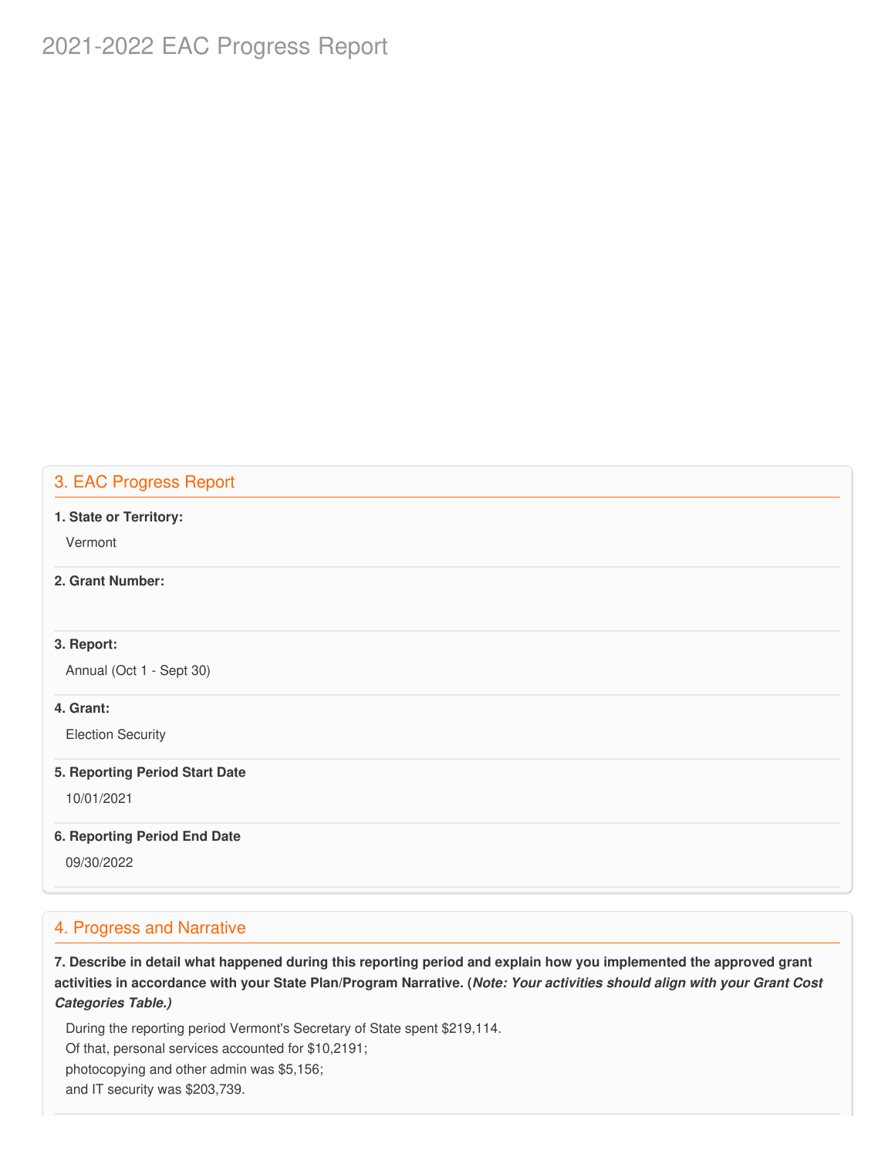# 2021-2022 EAC Progress Report

# 3. EAC Progress Report

#### **1. State or Territory:**

Vermont

### **2. Grant Number:**

#### **3. Report:**

Annual (Oct 1 - Sept 30)

#### **4. Grant:**

Election Security

#### **5. Reporting Period Start Date**

10/01/2021

#### **6. Reporting Period End Date**

09/30/2022

#### 4. Progress and Narrative

7. Describe in detail what happened during this reporting period and explain how you implemented the approved grant activities in accordance with your State Plan/Program Narrative. (*Note: Your activities should align with your Grant Cost Categories Table.)*

 During the reporting period Vermont's Secretary of State spent \$219,114. Of that, personal services accounted for \$10,2191; photocopying and other admin was \$5,156; and IT security was \$203,739.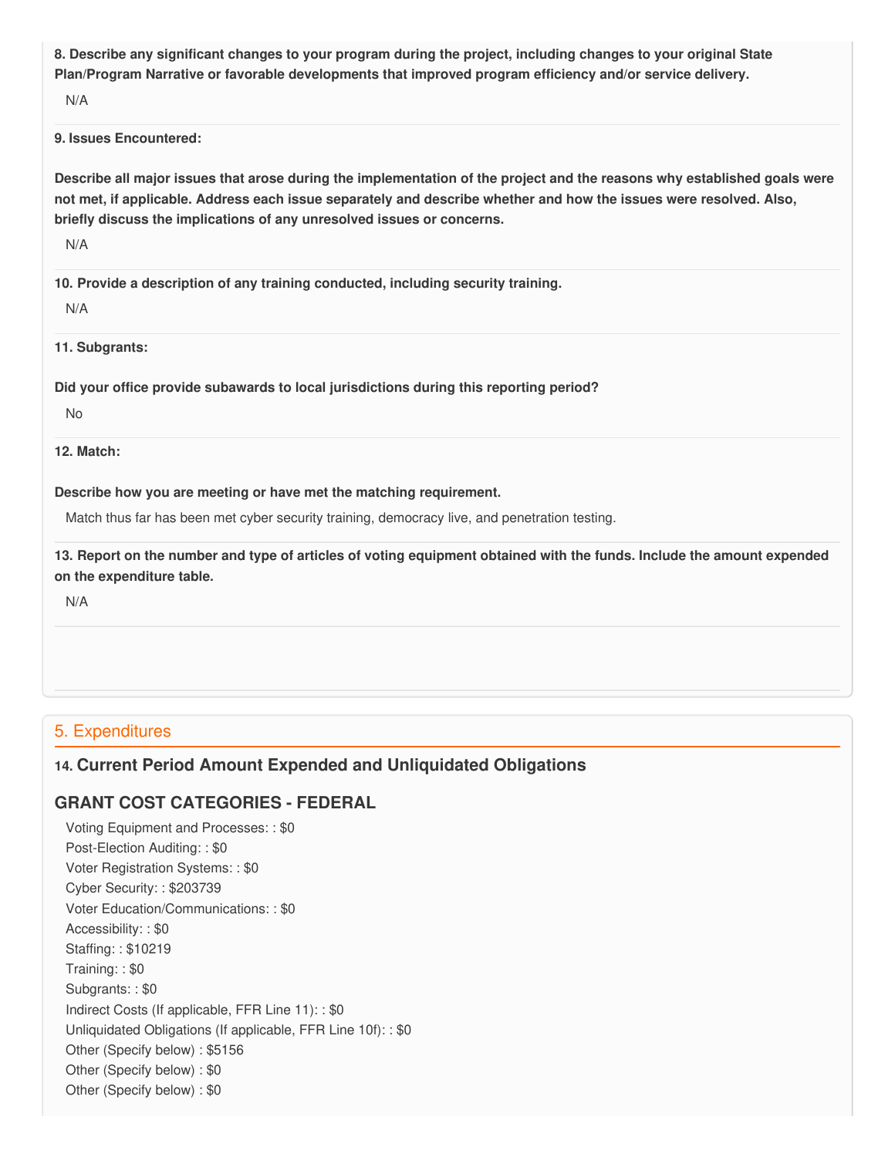8. Describe any significant changes to your program during the project, including changes to your original State  **Plan/Program Narrative or favorable developments that improved program efficiency and/or service delivery.**

N/A

#### **9. Issues Encountered:**

Describe all major issues that arose during the implementation of the project and the reasons why established goals were not met, if applicable. Address each issue separately and describe whether and how the issues were resolved. Also,  **briefly discuss the implications of any unresolved issues or concerns.**

N/A

 **10. Provide a description of any training conducted, including security training.**

N/A

**11. Subgrants:**

 **Did your office provide subawards to local jurisdictions during this reporting period?**

No

**12. Match:**

#### **Describe how you are meeting or have met the matching requirement.**

Match thus far has been met cyber security training, democracy live, and penetration testing.

13. Report on the number and type of articles of voting equipment obtained with the funds. Include the amount expended  **on the expenditure table.**

N/A

## 5. Expenditures

# **14. Current Period Amount Expended and Unliquidated Obligations**

# **GRANT COST CATEGORIES - FEDERAL**

 Voting Equipment and Processes: : \$0 Post-Election Auditing: : \$0 Voter Registration Systems: : \$0 Cyber Security: : \$203739 Voter Education/Communications: : \$0 Accessibility: : \$0 Staffing: : \$10219 Training: : \$0 Subgrants: : \$0 Indirect Costs (If applicable, FFR Line 11): : \$0 Unliquidated Obligations (If applicable, FFR Line 10f): : \$0 Other (Specify below) : \$5156 Other (Specify below) : \$0 Other (Specify below) : \$0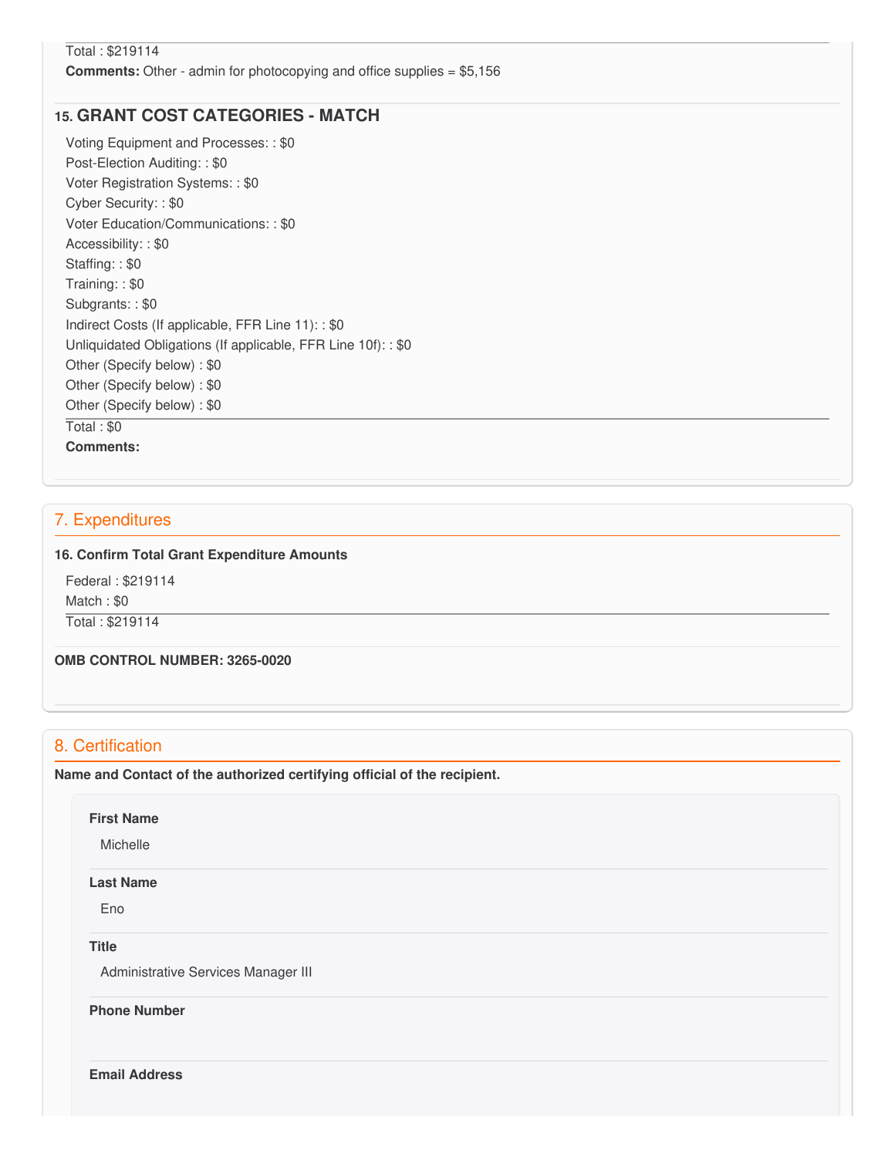### Total : \$219114 **Comments:** Other - admin for photocopying and office supplies = \$5,156

# **15. GRANT COST CATEGORIES - MATCH**

 Voting Equipment and Processes: : \$0 Post-Election Auditing: : \$0 Voter Registration Systems: : \$0 Cyber Security: : \$0 Voter Education/Communications: : \$0 Accessibility: : \$0 Staffing: : \$0 Training: : \$0 Subgrants: : \$0 Indirect Costs (If applicable, FFR Line 11): : \$0 Unliquidated Obligations (If applicable, FFR Line 10f): : \$0 Other (Specify below) : \$0 Other (Specify below) : \$0 Other (Specify below) : \$0 Total : \$0 **Comments:**

## 7. Expenditures

#### **16. Confirm Total Grant Expenditure Amounts**

 Federal : \$219114 Match : \$0 Total : \$219114

 **OMB CONTROL NUMBER: 3265-0020**

## 8. Certification

 **Name and Contact of the authorized certifying official of the recipient.**

#### **First Name**

Michelle

#### **Last Name**

Eno

#### **Title**

Administrative Services Manager III

 **Phone Number**

**Email Address**